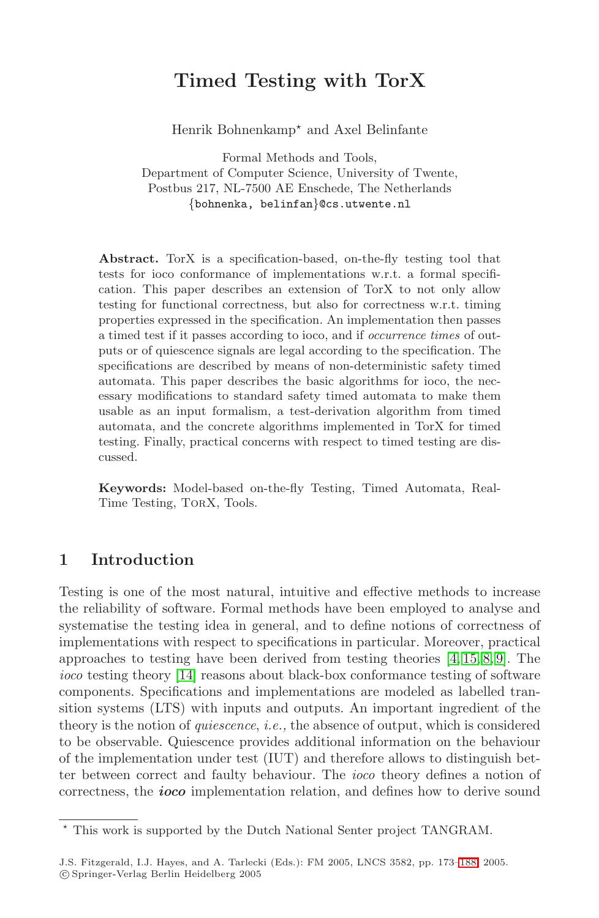# **Timed Testing with TorX**

Henrik Bohnenkamp<sup>\*</sup> and Axel Belinfante

Formal Methods and Tools, Department of Computer Science, University of Twente, Postbus 217, NL-7500 AE Enschede, The Netherlands {bohnenka, belinfan}@cs.utwente.nl

**Abstract.** TorX is a specification-based, on-the-fly testing tool that tests for ioco conformance of implementations w.r.t. a formal specification. This paper describes an extension of TorX to not only allow testing for functional correctness, but also for correctness w.r.t. timing properties expressed in the specification. An implementation then passes a timed test if it passes according to ioco, and if *occurrence times* of outputs or of quiescence signals are legal according to the specification. The specifications are described by means of non-deterministic safety timed automata. This paper describes the basic algorithms for ioco, the necessary modifications to standard safety timed automata to make them usable as an input formalism, a test-derivation algorithm from timed automata, and the concrete algorithms implemented in TorX for timed testing. Finally, practical concerns with respect to timed testing are discussed.

**Keywords:** Model-based on-the-fly Testing, Timed Automata, Real-Time Testing, TorX, Tools.

## **1 Introduction**

Testing is one of the most natural, intuitive and effective methods to increase the reliability of software. Formal methods have been employed to analyse and systematise the testing idea in general, and to define notions of correctness of implementations with respect to specifications in particular. Moreover, practical approaches to testing have been derived from testing theories [\[4,](#page-15-0) [15,](#page-15-1) [8,](#page-15-2) [9\]](#page-15-3). The *ioco* testing theory [\[14\]](#page-15-4) reasons about black-box conformance testing of software components. Specifications and implementations are modeled as labelled transition systems (LTS) with inputs and outputs. An important ingredient of the theory is the notion of *quiescence*, *i.e.,* the absence of output, which is considered to be observable. Quiescence provides additional information on the behaviour of the implementation under test (IUT) and therefore allows to distinguish better between correct and faulty behaviour. The *ioco* theory defines a notion of correctness, the *ioco* implementation relation, and defines how to derive sound

<sup>\*</sup> This work is supported by the Dutch National Senter project TANGRAM.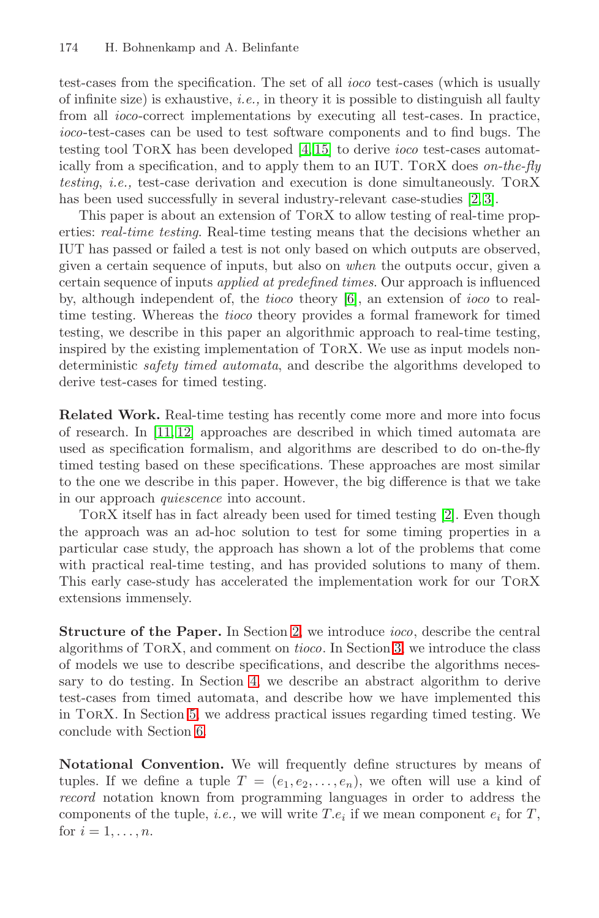test-cases from the specification. The set of all *ioco* test-cases (which is usually of infinite size) is exhaustive, *i.e.,* in theory it is possible to distinguish all faulty from all *ioco*-correct implementations by executing all test-cases. In practice, *ioco*-test-cases can be used to test software components and to find bugs. The testing tool TorX has been developed [\[4,](#page-15-0) [15\]](#page-15-1) to derive *ioco* test-cases automatically from a specification, and to apply them to an IUT. TorX does *on-the-fly testing*, *i.e.,* test-case derivation and execution is done simultaneously. TorX has been used successfully in several industry-relevant case-studies [\[2,](#page-14-0) [3\]](#page-15-6).

This paper is about an extension of TorX to allow testing of real-time properties: *real-time testing*. Real-time testing means that the decisions whether an IUT has passed or failed a test is not only based on which outputs are observed, given a certain sequence of inputs, but also on *when* the outputs occur, given a certain sequence of inputs *applied at predefined times*. Our approach is influenced by, although independent of, the *tioco* theory [\[6\]](#page-15-7), an extension of *ioco* to realtime testing. Whereas the *tioco* theory provides a formal framework for timed testing, we describe in this paper an algorithmic approach to real-time testing, inspired by the existing implementation of TorX. We use as input models nondeterministic *safety timed automata*, and describe the algorithms developed to derive test-cases for timed testing.

**Related Work.** Real-time testing has recently come more and more into focus of research. In [\[11,](#page-15-8) [12\]](#page-15-9) approaches are described in which timed automata are used as specification formalism, and algorithms are described to do on-the-fly timed testing based on these specifications. These approaches are most similar to the one we describe in this paper. However, the big difference is that we take in our approach *quiescence* into account.

TorX itself has in fact already been used for timed testing [\[2\]](#page-14-0). Even though the approach was an ad-hoc solution to test for some timing properties in a particular case study, the approach has shown a lot of the problems that come with practical real-time testing, and has provided solutions to many of them. This early case-study has accelerated the implementation work for our TorX extensions immensely.

**Structure of the Paper.** In Section [2,](#page-2-0) we introduce *ioco*, describe the central algorithms of TorX, and comment on *tioco*. In Section [3,](#page-6-0) we introduce the class of models we use to describe specifications, and describe the algorithms necessary to do testing. In Section [4,](#page-9-0) we describe an abstract algorithm to derive test-cases from timed automata, and describe how we have implemented this in TorX. In Section [5,](#page-12-0) we address practical issues regarding timed testing. We conclude with Section [6.](#page-14-1)

**Notational Convention.** We will frequently define structures by means of tuples. If we define a tuple  $T = (e_1, e_2, \ldots, e_n)$ , we often will use a kind of *record* notation known from programming languages in order to address the components of the tuple, *i.e.*, we will write  $T.e<sub>i</sub>$  if we mean component  $e<sub>i</sub>$  for  $T$ , for  $i = 1, \ldots, n$ .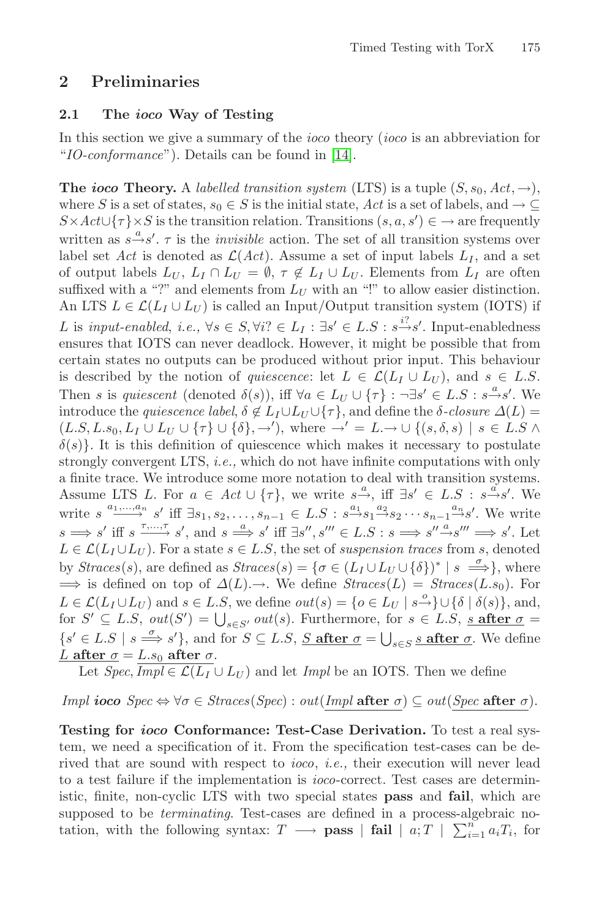## <span id="page-2-1"></span><span id="page-2-0"></span>**2 Preliminaries**

### **2.1 The** *ioco* **Way of Testing**

In this section we give a summary of the *ioco* theory (*ioco* is an abbreviation for "*IO-conformance*"). Details can be found in [\[14\]](#page-15-4).

**The** *ioco* **Theory.** A *labelled transition system* (LTS) is a tuple  $(S, s_0, Act, \rightarrow)$ , where S is a set of states,  $s_0 \in S$  is the initial state, Act is a set of labels, and  $\rightarrow \subseteq$  $S \times Act \cup \{\tau\} \times S$  is the transition relation. Transitions  $(s, a, s') \in \to$  are frequently written as  $s \stackrel{a}{\rightarrow} s'$ .  $\tau$  is the *invisible* action. The set of all transition systems over label set *Act* is denoted as  $\mathcal{L}(Act)$ . Assume a set of input labels  $L_I$ , and a set of output labels  $L_U$ ,  $L_I \cap L_U = \emptyset$ ,  $\tau \notin L_I \cup L_U$ . Elements from  $L_I$  are often suffixed with a "?" and elements from  $L_U$  with an "!" to allow easier distinction. An LTS  $L \in \mathcal{L}(L_I \cup L_U)$  is called an Input/Output transition system (IOTS) if L is *input-enabled*, *i.e.*,  $\forall s \in S, \forall i? \in L_I : \exists s' \in L.S : s \stackrel{i?}{\rightarrow} s'.$  Input-enabledness ensures that IOTS can never deadlock. However, it might be possible that from certain states no outputs can be produced without prior input. This behaviour is described by the notion of *quiescence*: let  $L \in \mathcal{L}(L_I \cup L_U)$ , and  $s \in L.S$ . Then s is *quiescent* (denoted  $\delta(s)$ ), iff  $\forall a \in L_U \cup \{\tau\} : \neg \exists s' \in L.S : s \xrightarrow{a} s'.$  We introduce the *quiescence label*,  $\delta \notin L_I \cup L_U \cup \{\tau\}$ , and define the  $\delta$ -closure  $\Delta(L)$  =  $(L.S, L.s_0, L_I \cup L_U \cup {\tau} \cup {\delta}, \rightarrow'), \text{ where } \rightarrow' = L. \rightarrow \cup \{ (s, \delta, s) \mid s \in L.S \land \sigma \}$  $\delta(s)$ . It is this definition of quiescence which makes it necessary to postulate strongly convergent LTS, *i.e.,* which do not have infinite computations with only a finite trace. We introduce some more notation to deal with transition systems. Assume LTS L. For  $a \in Act \cup \{\tau\}$ , we write  $s \xrightarrow{a}$ , iff  $\exists s' \in L.S : s \xrightarrow{a} s'$ . We write  $s \stackrel{a_1,...,a_n}{\longrightarrow} s'$  iff  $\exists s_1, s_2,..., s_{n-1} \in L.S : s \stackrel{a_1}{\longrightarrow} s_1 \stackrel{a_2}{\longrightarrow} s_2 \cdots s_{n-1} \stackrel{a_n}{\longrightarrow} s'$ . We write  $s \Longrightarrow s'$  iff  $s \xrightarrow{\tau, ..., \tau} s'$ , and  $s \stackrel{a}{\Longrightarrow} s'$  iff  $\exists s'', s''' \in L.S : s \Longrightarrow s'' \stackrel{a}{\rightarrow} s''' \Longrightarrow s'$ . Let  $L \in \mathcal{L}(L_I \cup L_U)$ . For a state  $s \in L.S$ , the set of *suspension traces* from s, denoted by  $Straces(s)$ , are defined as  $Straces(s) = \{ \sigma \in (L_I \cup L_U \cup \{\delta\})^* \mid s \stackrel{\sigma}{\implies} \}$ , where  $\implies$  is defined on top of  $\Delta(L) \rightarrow$ . We define  $Straces(L) = Straces(L.s_0)$ . For  $L \in \mathcal{L}(L_I \cup L_U)$  and  $s \in L.S$ , we define  $out(s) = \{o \in L_U \mid s \stackrel{o}{\to} \} \cup \{\delta \mid \delta(s)\}\$ , and, for  $S' \subseteq L.S$ ,  $out(S') = \bigcup_{s \in S'} out(s)$ . Furthermore, for  $s \in L.S$ , <u>s</u> after  $\sigma$  =  $\{s' \in L.S \mid s \stackrel{\sigma}{\Longrightarrow} s'\}$ , and for  $S \subseteq L.S$ , <u>S after  $\sigma = \bigcup_{s \in S} s$  after  $\sigma$ </u>. We define L after  $\sigma = L.s_0$  after  $\sigma$ .

Let  $Spec$ ,  $\overline{Impl \in \mathcal{L}(L_I \cup L_U)}$  and let  $Impl$  be an IOTS. Then we define

*Impl ioco Spec* ⇔ ∀σ ∈ *Straces*(*Spec*) : *out*(*Impl* **after** σ) ⊆ *out*(*Spec* **after** σ).

**Testing for** *ioco* **Conformance: Test-Case Derivation.** To test a real system, we need a specification of it. From the specification test-cases can be derived that are sound with respect to *ioco*, *i.e.,* their execution will never lead to a test failure if the implementation is *ioco*-correct. Test cases are deterministic, finite, non-cyclic LTS with two special states **pass** and **fail**, which are supposed to be *terminating*. Test-cases are defined in a process-algebraic notation, with the following syntax:  $T \longrightarrow \textbf{pass} \mid \textbf{fail} \mid a; T \mid \sum_{i=1}^{n} a_i T_i$ , for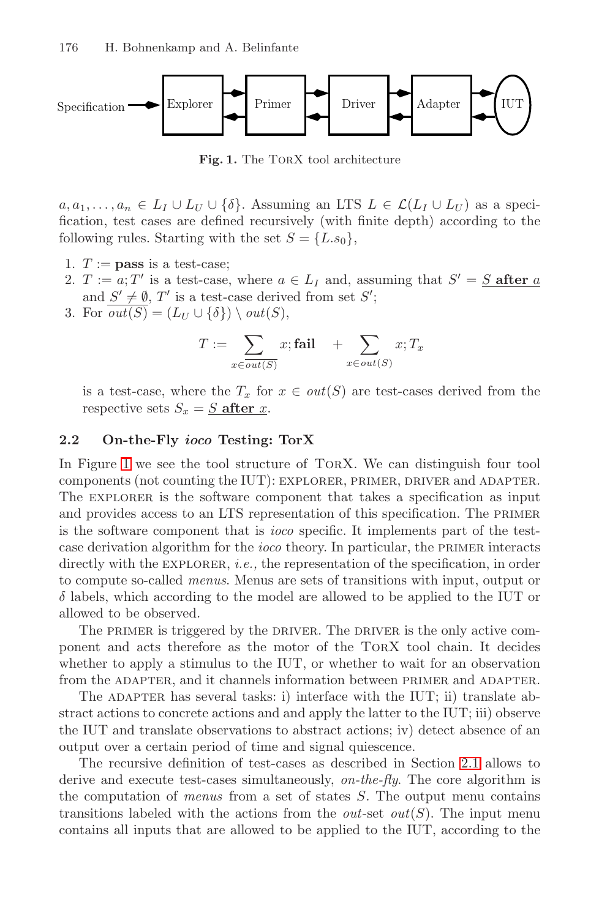

<span id="page-3-0"></span>**Fig. 1.** The TorX tool architecture

 $a, a_1, \ldots, a_n \in L_I \cup L_U \cup \{\delta\}.$  Assuming an LTS  $L \in \mathcal{L}(L_I \cup L_U)$  as a specification, test cases are defined recursively (with finite depth) according to the following rules. Starting with the set  $S = \{L.s_0\},\$ 

- 1.  $T := \text{pass}$  is a test-case;
- 2.  $T := a$ ; T' is a test-case, where  $a \in L_I$  and, assuming that  $S' = S$  after a and  $S' \neq \emptyset$ , T' is a test-case derived from set S';
- 3. For  $out(S)=(L_U\cup\{\delta\})\setminus out(S),$

$$
T := \sum_{x \in out(S)} x; \text{fail} \quad + \sum_{x \in out(S)} x; T_x
$$

is a test-case, where the  $T_x$  for  $x \in out(S)$  are test-cases derived from the respective sets  $S_x = S$  after x.

### <span id="page-3-1"></span>**2.2 On-the-Fly** *ioco* **Testing: TorX**

In Figure [1](#page-3-0) we see the tool structure of TorX. We can distinguish four tool components (not counting the IUT): explorer, primer, driver and adapter. The EXPLORER is the software component that takes a specification as input and provides access to an LTS representation of this specification. The primer is the software component that is *ioco* specific. It implements part of the testcase derivation algorithm for the *ioco* theory. In particular, the PRIMER interacts directly with the EXPLORER, *i.e.*, the representation of the specification, in order to compute so-called *menus*. Menus are sets of transitions with input, output or  $\delta$  labels, which according to the model are allowed to be applied to the IUT or allowed to be observed.

The PRIMER is triggered by the DRIVER. The DRIVER is the only active component and acts therefore as the motor of the TorX tool chain. It decides whether to apply a stimulus to the IUT, or whether to wait for an observation from the ADAPTER, and it channels information between PRIMER and ADAPTER.

The ADAPTER has several tasks: i) interface with the IUT; ii) translate abstract actions to concrete actions and and apply the latter to the IUT; iii) observe the IUT and translate observations to abstract actions; iv) detect absence of an output over a certain period of time and signal quiescence.

The recursive definition of test-cases as described in Section [2.1](#page-2-1) allows to derive and execute test-cases simultaneously, *on-the-fly*. The core algorithm is the computation of *menus* from a set of states S. The output menu contains transitions labeled with the actions from the *out*-set *out*( $S$ ). The input menu contains all inputs that are allowed to be applied to the IUT, according to the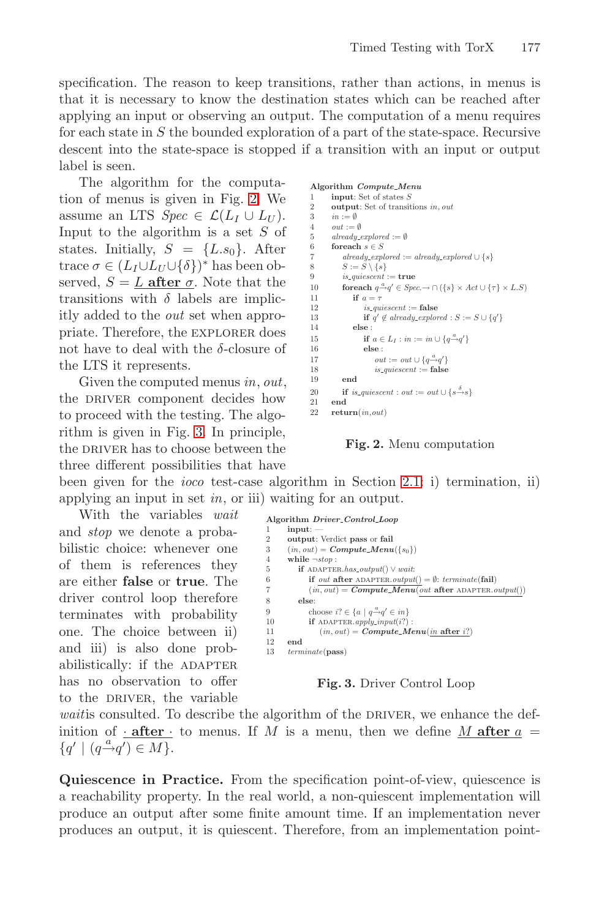specification. The reason to keep transitions, rather than actions, in menus is that it is necessary to know the destination states which can be reached after applying an input or observing an output. The computation of a menu requires for each state in  $S$  the bounded exploration of a part of the state-space. Recursive descent into the state-space is stopped if a transition with an input or output label is seen.

The algorithm for the computation of menus is given in Fig. [2.](#page-4-0) We assume an LTS *Spec*  $\in \mathcal{L}(L_I \cup L_U)$ . Input to the algorithm is a set  $S$  of states. Initially,  $S = \{L.s_0\}$ . After trace  $\sigma \in (L_I \cup L_U \cup \{\delta\})^*$  has been observed,  $S = L$  after  $\sigma$ . Note that the transitions with  $\delta$  labels are implicitly added to the *out* set when appropriate. Therefore, the explorer does not have to deal with the  $\delta$ -closure of the LTS it represents.

<span id="page-4-13"></span><span id="page-4-11"></span><span id="page-4-10"></span>Given the computed menus *in*, *out*, the DRIVER component decides how to proceed with the testing. The algorithm is given in Fig. [3.](#page-4-1) In principle, the DRIVER has to choose between the three different possibilities that have

```
Algorithm Compute Menu
1 input: Set of states S
2 output: Set of transitions in, out
3 in := \emptyset<br>4 out :=out := \emptyset5 already explored := ∅
6 foreach s \in S<br>7 already_expl
7 already_explored := already_explored ∪ {s}<br>8 S := S \setminus \{s\}8 S := S \setminus \{s\}<br>9 is miescent
          is\_quiescent := true10 foreach q \stackrel{a}{\rightarrow} q' \in Spec \rightarrow \cap (\{s\} \times Act \cup \{\tau\} \times L.S)11 if a = \tau12 is\_quiescent := false<br>
13 if g' \notin already \;explo13 if q' \notin already\_explored : S := S \cup \{q'\}14 else :
15 if a \in L_I : in := in \cup \{q \xrightarrow{a} q' \}16 else :
17 \qquad out := out \cup \{q^{\underline{a}} \rightarrow q'\}18 is quiescent := false
19 end
20 if is_quiescent : out := out \cup {s \xrightarrow{\delta} s}
21 end
22 return(in,out)
```
#### <span id="page-4-0"></span>**Fig. 2.** Menu computation

been given for the *ioco* test-case algorithm in Section [2.1:](#page-2-1) i) termination, ii) applying an input in set *in*, or iii) waiting for an output.

With the variables *wait* and *stop* we denote a probabilistic choice: whenever one of them is references they are either **false** or **true**. The driver control loop therefore terminates with probability one. The choice between ii) and iii) is also done probabilistically: if the ADAPTER has no observation to offer to the DRIVER, the variable

<span id="page-4-15"></span><span id="page-4-14"></span><span id="page-4-12"></span><span id="page-4-8"></span><span id="page-4-5"></span>

<span id="page-4-1"></span>**Fig. 3.** Driver Control Loop

*wait* is consulted. To describe the algorithm of the DRIVER, we enhance the definition of  $\cdot$  **after**  $\cdot$  to menus. If M is a menu, then we define M **after**  $a =$  $\{q' \mid (q \xrightarrow{a} q') \in M\}.$ 

**Quiescence in Practice.** From the specification point-of-view, quiescence is a reachability property. In the real world, a non-quiescent implementation will produce an output after some finite amount time. If an implementation never produces an output, it is quiescent. Therefore, from an implementation point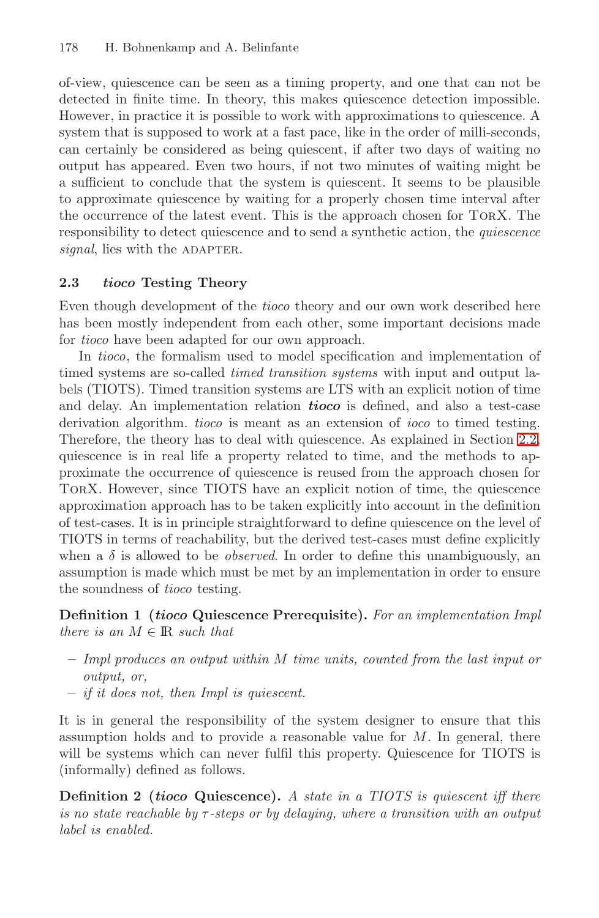of-view, quiescence can be seen as a timing property, and one that can not be detected in finite time. In theory, this makes quiescence detection impossible. However, in practice it is possible to work with approximations to quiescence. A system that is supposed to work at a fast pace, like in the order of milli-seconds, can certainly be considered as being quiescent, if after two days of waiting no output has appeared. Even two hours, if not two minutes of waiting might be a sufficient to conclude that the system is quiescent. It seems to be plausible to approximate quiescence by waiting for a properly chosen time interval after the occurrence of the latest event. This is the approach chosen for TorX. The responsibility to detect quiescence and to send a synthetic action, the *quiescence signal*, lies with the ADAPTER.

## <span id="page-5-2"></span>**2.3** *tioco* **Testing Theory**

Even though development of the *tioco* theory and our own work described here has been mostly independent from each other, some important decisions made for *tioco* have been adapted for our own approach.

In *tioco*, the formalism used to model specification and implementation of timed systems are so-called *timed transition systems* with input and output labels (TIOTS). Timed transition systems are LTS with an explicit notion of time and delay. An implementation relation *tioco* is defined, and also a test-case derivation algorithm. *tioco* is meant as an extension of *ioco* to timed testing. Therefore, the theory has to deal with quiescence. As explained in Section [2.2,](#page-3-1) quiescence is in real life a property related to time, and the methods to approximate the occurrence of quiescence is reused from the approach chosen for TorX. However, since TIOTS have an explicit notion of time, the quiescence approximation approach has to be taken explicitly into account in the definition of test-cases. It is in principle straightforward to define quiescence on the level of TIOTS in terms of reachability, but the derived test-cases must define explicitly when a  $\delta$  is allowed to be *observed*. In order to define this unambiguously, an assumption is made which must be met by an implementation in order to ensure the soundness of *tioco* testing.

<span id="page-5-0"></span>**Definition 1 (***tioco* **Quiescence Prerequisite).** *For an implementation Impl there is an*  $M \in \mathbb{R}$  *such that* 

- **–** *Impl produces an output within* M *time units, counted from the last input or output, or,*
- **–** *if it does not, then Impl is quiescent.*

It is in general the responsibility of the system designer to ensure that this assumption holds and to provide a reasonable value for  $M$ . In general, there will be systems which can never fulfil this property. Quiescence for TIOTS is (informally) defined as follows.

<span id="page-5-1"></span>**Definition 2 (***tioco* **Quiescence).** *A state in a TIOTS is quiescent iff there is no state reachable by*  $\tau$ -steps or by delaying, where a transition with an output *label is enabled.*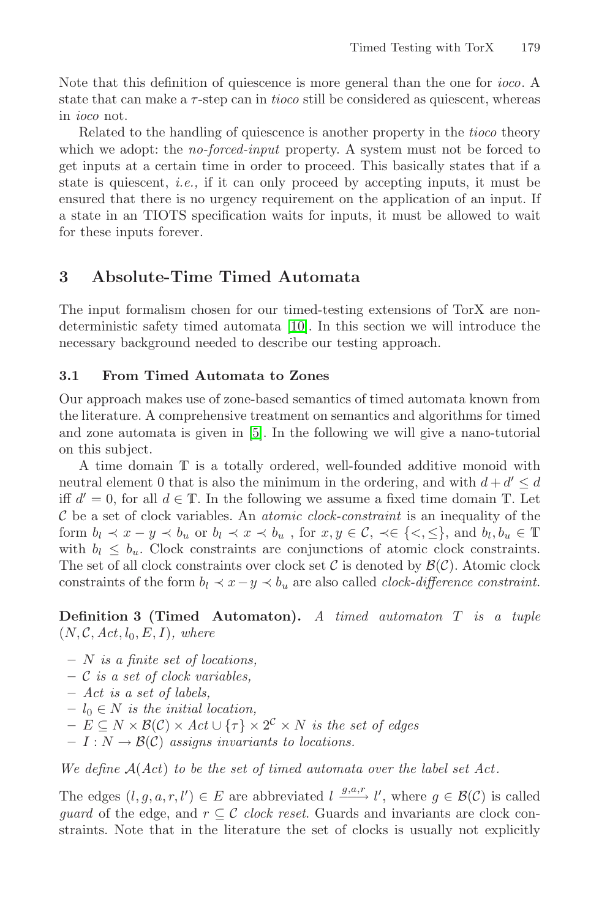Note that this definition of quiescence is more general than the one for *ioco*. A state that can make a τ -step can in *tioco* still be considered as quiescent, whereas in *ioco* not.

Related to the handling of quiescence is another property in the *tioco* theory which we adopt: the *no-forced-input* property. A system must not be forced to get inputs at a certain time in order to proceed. This basically states that if a state is quiescent, *i.e.,* if it can only proceed by accepting inputs, it must be ensured that there is no urgency requirement on the application of an input. If a state in an TIOTS specification waits for inputs, it must be allowed to wait for these inputs forever.

## <span id="page-6-0"></span>**3 Absolute-Time Timed Automata**

The input formalism chosen for our timed-testing extensions of TorX are nondeterministic safety timed automata [\[10\]](#page-15-10). In this section we will introduce the necessary background needed to describe our testing approach.

## **3.1 From Timed Automata to Zones**

Our approach makes use of zone-based semantics of timed automata known from the literature. A comprehensive treatment on semantics and algorithms for timed and zone automata is given in [\[5\]](#page-15-11). In the following we will give a nano-tutorial on this subject.

A time domain T is a totally ordered, well-founded additive monoid with neutral element 0 that is also the minimum in the ordering, and with  $d + d' \leq d$ iff  $d' = 0$ , for all  $d \in \mathbb{T}$ . In the following we assume a fixed time domain  $\mathbb{T}$ . Let C be a set of clock variables. An *atomic clock-constraint* is an inequality of the form  $b_l \prec x - y \prec b_u$  or  $b_l \prec x \prec b_u$ , for  $x, y \in \mathcal{C}, \prec \in \{\prec, \leq\}$ , and  $b_l, b_u \in \mathbb{T}$ with  $b_l \leq b_u$ . Clock constraints are conjunctions of atomic clock constraints. The set of all clock constraints over clock set C is denoted by  $\mathcal{B}(\mathcal{C})$ . Atomic clock constraints of the form  $b_l \prec x-y \prec b_u$  are also called *clock-difference constraint*.

**Definition 3 (Timed Automaton).** *A timed automaton* T *is a tuple*  $(N, \mathcal{C}, \mathit{Act}, l_0, E, I)$ *, where* 

- **–** N *is a finite set of locations,*
- **–** C *is a set of clock variables,*
- **–** *Act is a set of labels,*
- $l_0 \in N$  *is the initial location,*
- $E \subseteq N \times \mathcal{B}(\mathcal{C}) \times Act \cup \{\tau\} \times 2^{\mathcal{C}} \times N$  *is the set of edges*
- $-I: N \to \mathcal{B}(\mathcal{C})$  assigns invariants to locations.

*We define* A(*Act*) *to be the set of timed automata over the label set Act .*

The edges  $(l, g, a, r, l') \in E$  are abbreviated  $l \stackrel{g,a,r}{\longrightarrow} l'$ , where  $g \in \mathcal{B}(\mathcal{C})$  is called *guard* of the edge, and  $r \subseteq \mathcal{C}$  *clock reset*. Guards and invariants are clock constraints. Note that in the literature the set of clocks is usually not explicitly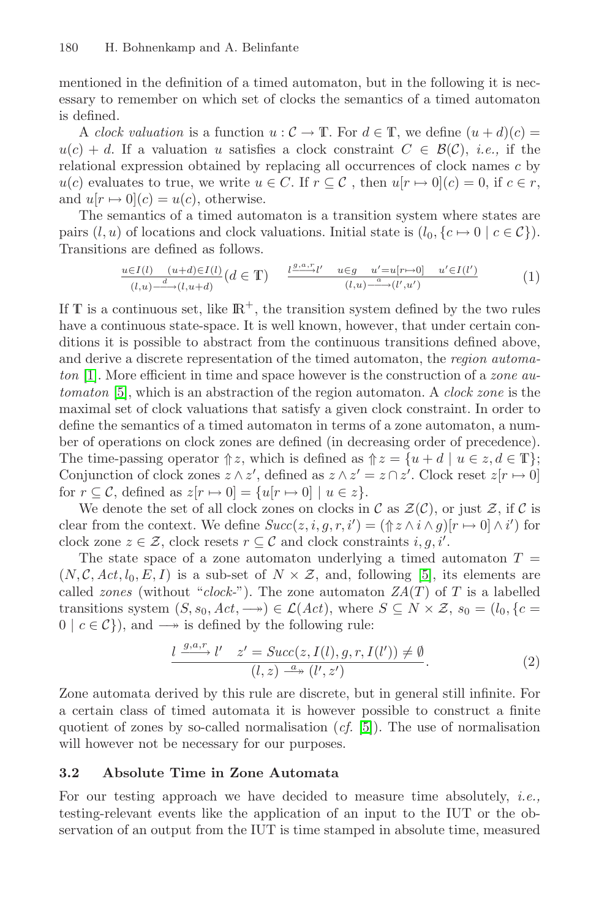mentioned in the definition of a timed automaton, but in the following it is necessary to remember on which set of clocks the semantics of a timed automaton is defined.

A *clock valuation* is a function  $u : \mathcal{C} \to \mathbb{T}$ . For  $d \in \mathbb{T}$ , we define  $(u + d)(c) =$  $u(c) + d$ . If a valuation u satisfies a clock constraint  $C \in \mathcal{B}(\mathcal{C})$ , *i.e.*, if the relational expression obtained by replacing all occurrences of clock names c by  $u(c)$  evaluates to true, we write  $u \in C$ . If  $r \subseteq C$ , then  $u[r \mapsto 0](c) = 0$ , if  $c \in r$ , and  $u[r \mapsto 0](c) = u(c)$ , otherwise.

The semantics of a timed automaton is a transition system where states are pairs  $(l, u)$  of locations and clock valuations. Initial state is  $(l_0, \{c \mapsto 0 \mid c \in C\})$ . Transitions are defined as follows.

<span id="page-7-0"></span>
$$
\frac{u \in I(l) \quad (u+d) \in I(l)}{(l,u) - \xrightarrow{d} (l,u+d)} (d \in \mathbb{T}) \qquad \frac{l^{\frac{g}{2},a,\frac{r}{2}l'}}{(l,u) - \xrightarrow{u \in g} u' = u[r \mapsto 0]} \frac{u' \in I(l')}{(l,u) - \xrightarrow{a} (l',u')}
$$
(1)

If  $T$  is a continuous set, like  $\mathbb{R}^+$ , the transition system defined by the two rules have a continuous state-space. It is well known, however, that under certain conditions it is possible to abstract from the continuous transitions defined above, and derive a discrete representation of the timed automaton, the *region automaton* [\[1\]](#page-14-2). More efficient in time and space however is the construction of a *zone automaton* [\[5\]](#page-15-11), which is an abstraction of the region automaton. A *clock zone* is the maximal set of clock valuations that satisfy a given clock constraint. In order to define the semantics of a timed automaton in terms of a zone automaton, a number of operations on clock zones are defined (in decreasing order of precedence). The time-passing operator  $\Uparrow z$ , which is defined as  $\Uparrow z = \{u + d \mid u \in z, d \in \mathbb{T}\}\;$ ; Conjunction of clock zones  $z \wedge z'$ , defined as  $z \wedge z' = z \cap z'$ . Clock reset  $z[r \mapsto 0]$ for  $r \subseteq \mathcal{C}$ , defined as  $z[r \mapsto 0] = \{u[r \mapsto 0] \mid u \in z\}.$ 

We denote the set of all clock zones on clocks in  $\mathcal C$  as  $\mathcal Z(\mathcal C)$ , or just  $\mathcal Z$ , if  $\mathcal C$  is clear from the context. We define  $Succ(z, i, g, r, i') = (\uparrow z \land i \land g)[r \mapsto 0] \land i'$  for clock zone  $z \in \mathcal{Z}$ , clock resets  $r \subseteq \mathcal{C}$  and clock constraints  $i, g, i'$ .

The state space of a zone automaton underlying a timed automaton  $T =$  $(N, \mathcal{C}, \mathcal{A}ct, l_0, E, I)$  is a sub-set of  $N \times \mathcal{Z}$ , and, following [\[5\]](#page-15-11), its elements are called *zones* (without "*clock-*"). The zone automaton  $ZA(T)$  of T is a labelled transitions system  $(S, s_0, Act, \rightarrow) \in \mathcal{L}(Act)$ , where  $S \subseteq N \times \mathcal{Z}$ ,  $s_0 = (l_0, \{c =$  $0 | c \in \mathcal{C} \rangle$ , and  $\longrightarrow$  is defined by the following rule:

$$
\frac{l\xrightarrow{g,a,r}l' \quad z' = Succ(z, I(l), g, r, I(l')) \neq \emptyset}{(l, z) \xrightarrow{a} (l', z')}.
$$
\n
$$
(2)
$$

Zone automata derived by this rule are discrete, but in general still infinite. For a certain class of timed automata it is however possible to construct a finite quotient of zones by so-called normalisation (*cf.* [\[5\]](#page-15-11)). The use of normalisation will however not be necessary for our purposes.

#### **3.2 Absolute Time in Zone Automata**

For our testing approach we have decided to measure time absolutely, *i.e.,* testing-relevant events like the application of an input to the IUT or the observation of an output from the IUT is time stamped in absolute time, measured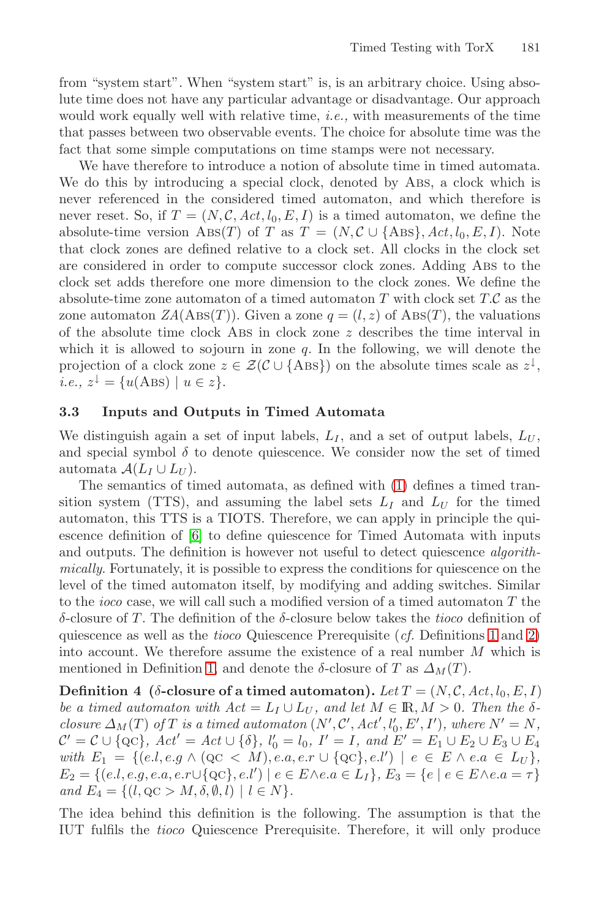from "system start". When "system start" is, is an arbitrary choice. Using absolute time does not have any particular advantage or disadvantage. Our approach would work equally well with relative time, *i.e.,* with measurements of the time that passes between two observable events. The choice for absolute time was the fact that some simple computations on time stamps were not necessary.

We have therefore to introduce a notion of absolute time in timed automata. We do this by introducing a special clock, denoted by ABS, a clock which is never referenced in the considered timed automaton, and which therefore is never reset. So, if  $T = (N, \mathcal{C}, Act, l_0, E, I)$  is a timed automaton, we define the absolute-time version Abs(T) of T as  $T = (N, \mathcal{C} \cup {\text{ABS}}, Act, l_0, E, I)$ . Note that clock zones are defined relative to a clock set. All clocks in the clock set are considered in order to compute successor clock zones. Adding Abs to the clock set adds therefore one more dimension to the clock zones. We define the absolute-time zone automaton of a timed automaton T with clock set  $T.C$  as the zone automaton  $ZA(ABs(T))$ . Given a zone  $q=(l, z)$  of  $ABs(T)$ , the valuations of the absolute time clock Abs in clock zone z describes the time interval in which it is allowed to sojourn in zone  $q$ . In the following, we will denote the projection of a clock zone  $z \in \mathcal{Z}(\mathcal{C} \cup {\text{ABS}})$  on the absolute times scale as  $z^{\downarrow}$ ,  $i.e., z^{\downarrow} = \{u(ABs) \mid u \in z\}.$ 

### <span id="page-8-0"></span>**3.3 Inputs and Outputs in Timed Automata**

We distinguish again a set of input labels,  $L<sub>I</sub>$ , and a set of output labels,  $L<sub>U</sub>$ , and special symbol  $\delta$  to denote quiescence. We consider now the set of timed automata  $\mathcal{A}(L_I \cup L_U)$ .

The semantics of timed automata, as defined with [\(1\)](#page-7-0) defines a timed transition system (TTS), and assuming the label sets  $L_I$  and  $L_U$  for the timed automaton, this TTS is a TIOTS. Therefore, we can apply in principle the quiescence definition of [\[6\]](#page-15-7) to define quiescence for Timed Automata with inputs and outputs. The definition is however not useful to detect quiescence *algorithmically*. Fortunately, it is possible to express the conditions for quiescence on the level of the timed automaton itself, by modifying and adding switches. Similar to the *ioco* case, we will call such a modified version of a timed automaton T the δ-closure of T. The definition of the δ-closure below takes the *tioco* definition of quiescence as well as the *tioco* Quiescence Prerequisite (*cf.* Definitions [1](#page-5-0) and [2\)](#page-5-1) into account. We therefore assume the existence of a real number M which is mentioned in Definition [1,](#page-5-0) and denote the δ-closure of T as  $\Delta_M(T)$ .

**Definition 4** ( $\delta$ -closure of a timed automaton). Let  $T = (N, \mathcal{C}, Act, l_0, E, I)$ *be a timed automaton with*  $Act = L_I \cup L_U$ , and let  $M \in \mathbb{R}, M > 0$ . Then the  $\delta$ *closure*  $\Delta_M(T)$  *of* T *is a timed automaton*  $(N', C', Act', l'_0, E', I')$ *, where*  $N' = N$ *,*  $\mathcal{C}' = \mathcal{C} \cup \{\text{QC}\}, \ Act' = Act \cup \{\delta\}, \ l'_0 = l_0, \ I' = I, \ and \ E' = E_1 \cup E_2 \cup E_3 \cup E_4$ *with*  $E_1 = \{ (e, l, e, g \land (QC < M), e.a, e.r \cup \{QC\}, e.l') | e \in E \land e.a \in L_U \},\$  $E_2 = \{(e.l, e.g, e.a, e.r \cup \{QC\}, e.l') \mid e \in E \land e.a \in L_I\}, E_3 = \{e \mid e \in E \land e.a = \tau\}$ *and*  $E_4 = \{(l, \text{QC} > M, \delta, \emptyset, l) \mid l \in N\}.$ 

The idea behind this definition is the following. The assumption is that the IUT fulfils the *tioco* Quiescence Prerequisite. Therefore, it will only produce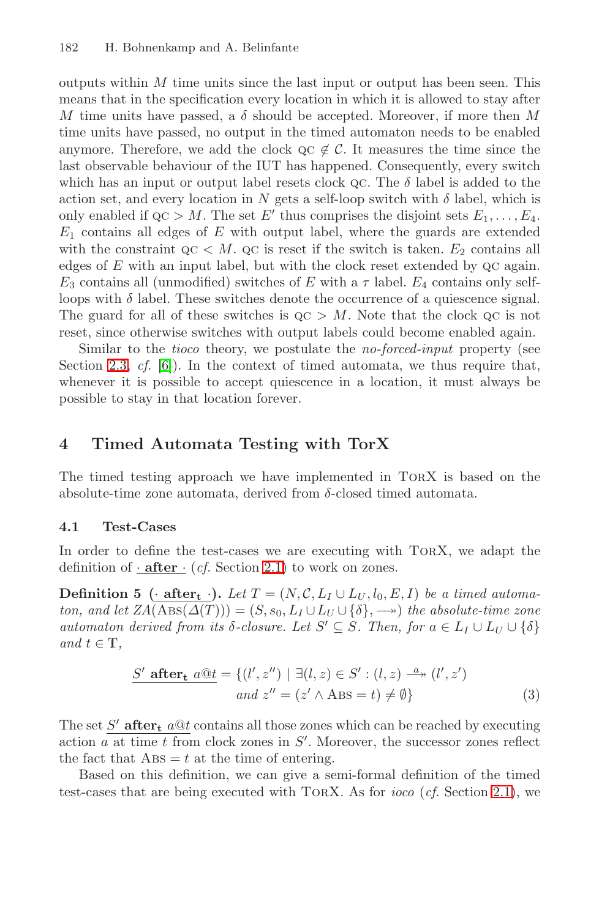outputs within  $M$  time units since the last input or output has been seen. This means that in the specification every location in which it is allowed to stay after M time units have passed, a  $\delta$  should be accepted. Moreover, if more then M time units have passed, no output in the timed automaton needs to be enabled anymore. Therefore, we add the clock  $\mathbb{Q} \in \mathcal{L}$ . It measures the time since the last observable behaviour of the IUT has happened. Consequently, every switch which has an input or output label resets clock  $\alpha$ . The  $\delta$  label is added to the action set, and every location in N gets a self-loop switch with  $\delta$  label, which is only enabled if  $QC > M$ . The set E' thus comprises the disjoint sets  $E_1, \ldots, E_4$ .  $E_1$  contains all edges of E with output label, where the guards are extended with the constraint  $QC < M$ . QC is reset if the switch is taken.  $E_2$  contains all edges of E with an input label, but with the clock reset extended by qc again.  $E_3$  contains all (unmodified) switches of E with a  $\tau$  label.  $E_4$  contains only selfloops with  $\delta$  label. These switches denote the occurrence of a quiescence signal. The guard for all of these switches is  $QC > M$ . Note that the clock QC is not reset, since otherwise switches with output labels could become enabled again.

Similar to the *tioco* theory, we postulate the *no-forced-input* property (see Section [2.3,](#page-5-2)  $cf.$  [\[6\]](#page-15-7)). In the context of timed automata, we thus require that, whenever it is possible to accept quiescence in a location, it must always be possible to stay in that location forever.

## <span id="page-9-0"></span>**4 Timed Automata Testing with TorX**

The timed testing approach we have implemented in TorX is based on the absolute-time zone automata, derived from δ-closed timed automata.

## **4.1 Test-Cases**

In order to define the test-cases we are executing with TorX, we adapt the definition of  $\cdot$  **after**  $\cdot$  (*cf.* Section [2.1\)](#page-2-1) to work on zones.

**Definition 5** ( $\cdot$  **after**<sub>**t**</sub>  $\cdot$ ). Let  $T = (N, \mathcal{C}, L_I \cup L_U, l_0, E, I)$  *be a timed automaton, and let*  $ZA(ABs(\Delta(T)))=(S, s_0, L_I\cup L_U\cup\{\delta\}, \rightarrow)$  *the absolute-time zone automaton derived from its*  $\delta$ -closure. Let  $S' \subseteq S$ . Then, for  $a \in L_I \cup L_U \cup \{\delta\}$ *and*  $t \in \mathbb{T}$ *,* 

$$
\frac{S' \text{ after } a @ t}{and z''} = \{(l', z'') \mid \exists (l, z) \in S' : (l, z) \xrightarrow{a} (l', z')
$$
  
and  $z'' = (z' \land \text{ABS} = t) \neq \emptyset\}$  (3)

The set  $S'$  **after<sub>t</sub>**  $a@t$  contains all those zones which can be reached by executing action  $a$  at time  $t$  from clock zones in  $S'$ . Moreover, the successor zones reflect the fact that  $\text{Abs} = t$  at the time of entering.

Based on this definition, we can give a semi-formal definition of the timed test-cases that are being executed with TorX. As for *ioco* (*cf.* Section [2.1\)](#page-2-1), we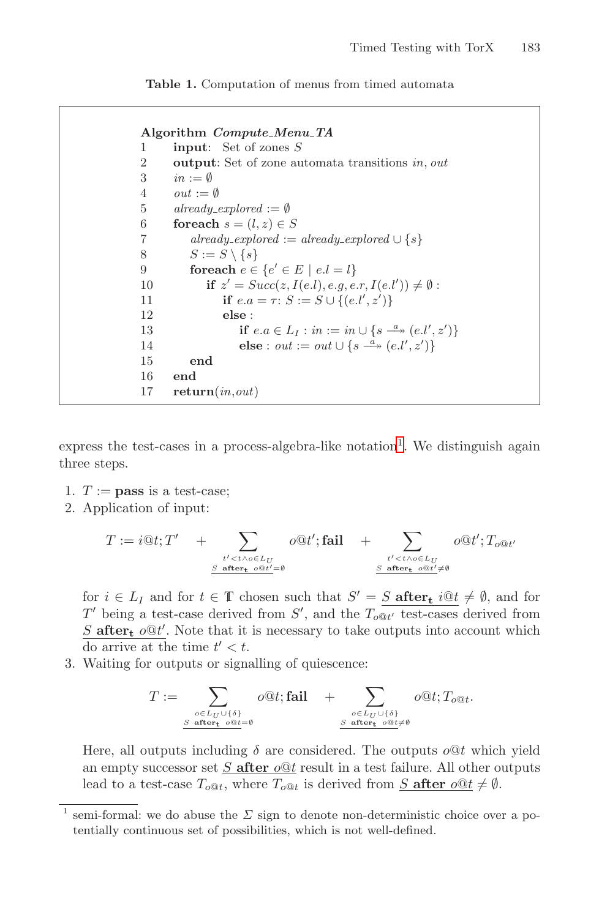<span id="page-10-1"></span>**Table 1.** Computation of menus from timed automata

```
Algorithm Compute Menu TA
1 input: Set of zones S
2 output: Set of zone automata transitions in, out 3 in := \emptysetin := \emptyset4 out := \emptyset5 already_explored := \emptyset6 foreach s = (l, z) \in S<br>7 already_explored :=
7 already_explored := already_explored \cup {s}<br>8 S := S \ {s}
8 S := S \setminus \{s\}<br>9 foreach e \in9 foreach e \in \{e' \in E \mid e.l = l\}<br>10 if z' = Succ(z, I(e.l), e.a, e.10 if z' = Succ(z, I(e.l), e.g, e.r, I(e.l')) \neq \emptyset:<br>
if e.g. = z : S := S \cup I(e.l' \ z') \cup I(e.l')11 if e.a = \tau: S := S \cup \{(e.l', z')\}12 else :
13 if e.a \in L_I : in := in \cup \{s \stackrel{a}{\longrightarrow} (e.l', z')\}<br>
olso : out := out :: \int_{s}^{a} (e.l' - z') dz'14 else : out := out ∪ {s \xrightarrow{a} (e.l', z')}
15 end
16 end
17 return(in,out)
```
express the test-cases in a process-algebra-like notation<sup>[1](#page-10-0)</sup>. We distinguish again three steps.

- 1.  $T := \text{pass}$  is a test-case;
- 2. Application of input:

$$
T := i \t\t@t; T' + \sum_{\substack{t' < t \wedge o \in L_U \\ S \text{ after } t \text{ or } t' = \emptyset}} o \t\t@t'; \text{fail } + \sum_{\substack{t' < t \wedge o \in L_U \\ S \text{ after } t \text{ or } t' \neq \emptyset}} o \t\t@t'; T_{o \t\t@t'}
$$

for  $i \in L_I$  and for  $t \in \mathbb{T}$  chosen such that  $S' = S$  **after**<sub>t</sub>  $i@t \neq \emptyset$ , and for  $T'$  being a test-case derived from  $S'$ , and the  $T_{o@t'}$  test-cases derived from  $S$  after<sub>t</sub>  $\partial \mathbb{Q} t'$ . Note that it is necessary to take outputs into account which do arrive at the time  $t' < t$ .

3. Waiting for outputs or signalling of quiescence:

$$
T := \sum_{\substack{o \in L_U \cup \{\delta\} \\ S \text{ after } o \otimes t = \emptyset}} o \circledast t; \text{fail} \quad + \sum_{\substack{o \in L_U \cup \{\delta\} \\ S \text{ after } o \circ \text{if} \neq \emptyset}} o \circledast t; T_{o \circledast t}.
$$

Here, all outputs including  $\delta$  are considered. The outputs  $\delta \mathbb{Q}t$  which yield an empty successor set  $S$  after  $\partial \mathcal{Q}t$  result in a test failure. All other outputs lead to a test-case  $T_{o@t}$ , where  $T_{o@t}$  is derived from  $S$  after  $o@t \neq \emptyset$ .

<span id="page-10-0"></span><sup>&</sup>lt;sup>1</sup> semi-formal: we do abuse the  $\Sigma$  sign to denote non-deterministic choice over a potentially continuous set of possibilities, which is not well-defined.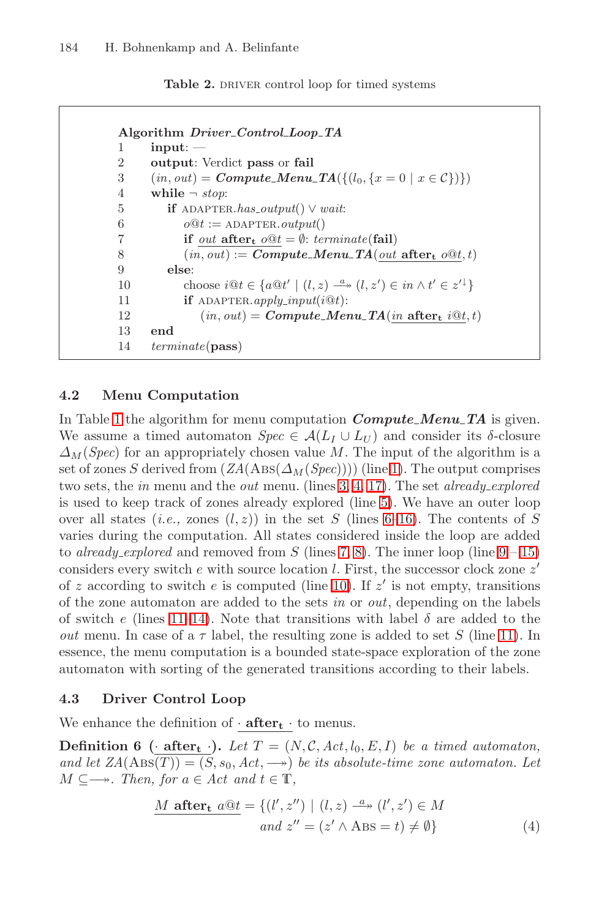```
Table 2. DRIVER control loop for timed systems
```

```
Algorithm Driver Control Loop TA
1 input: —
2 output: Verdict pass or fail
3 (in, out) = Compute\_Menu\_TA(\{(l_0, \{x = 0 \mid x \in C\})\})<br>4 while \neg ston:
         while \neg stop:
5 if ADAPTER.has_output() \lor wait:<br>6 o@t := \text{ADAPTER} . output()6 o@t := \text{ADAPTER}.output()<br>
6 o@t := \text{ADAPTER}.output()<br>
6 i.e.7 if \begin{array}{ll}\n\text{out after } t \text{ of } \phi \text{ of } t = \emptyset: \text{ terminate (fail)} \\
\text{8} & (in, out) := \text{Compute\_Menu\_TA}(\text{out})\n\end{array}8 (in, out) := Compute\_Menu\_TA(\underbrace{out \text{ after } t \text{ } o @t}_{t}, t)<br>9 else:
              9 else:
10 choose i@t \in \{a@t' \mid (l, z) \stackrel{a}{\longrightarrow} (l, z') \in in \wedge t' \in z'^{\downarrow}\}\11 if ADAPTER.apply_input(i@t):<br>12 (in, out) = Compute\_Mer
12 (in, out) = Compute\_Menu\_TA(in\_after_t i@t, t)<br>13 end
         13 end
14 terminate(pass)
```
### **4.2 Menu Computation**

In Table [1](#page-10-1) the algorithm for menu computation *Compute\_Menu\_TA* is given. We assume a timed automaton  $Spec \in \mathcal{A}(L_I \cup L_{II})$  and consider its  $\delta$ -closure  $\Delta_M(Spec)$  for an appropriately chosen value M. The input of the algorithm is a set of zones S derived from  $(ZA(ABS(\Delta_M(Spec))))$  (line [1\)](#page-4-2). The output comprises two sets, the *in* menu and the *out* menu. (lines [3,](#page-4-3) [4,](#page-4-4) [17\)](#page-4-5). The set *already explored* is used to keep track of zones already explored (line [5\)](#page-4-6). We have an outer loop over all states (*i.e.*, zones  $(l, z)$ ) in the set S (lines [6](#page-4-7)[–16\)](#page-4-8). The contents of S varies during the computation. All states considered inside the loop are added to *already\_explored* and removed from  $S$  (lines [7,](#page-4-9) [8\)](#page-4-10). The inner loop (line  $9-15$ ) considers every switch e with source location l. First, the successor clock zone  $z'$ of z according to switch  $e$  is computed (line [10\)](#page-4-13). If  $z'$  is not empty, transitions of the zone automaton are added to the sets *in* or *out*, depending on the labels of switch e (lines [11–](#page-4-14)[14\)](#page-4-15). Note that transitions with label  $\delta$  are added to the *out* menu. In case of a  $\tau$  label, the resulting zone is added to set S (line [11\)](#page-4-14). In essence, the menu computation is a bounded state-space exploration of the zone automaton with sorting of the generated transitions according to their labels.

### **4.3 Driver Control Loop**

We enhance the definition of  $\cdot$   $\mathbf{after}_{\mathbf{t}}$   $\cdot$  to menus.

**Definition 6** ( $\cdot$  **after**<sub>**t**</sub>  $\cdot$ ). Let  $T = (N, \mathcal{C}, Act, l_0, E, I)$  be a timed automaton, *and let*  $ZA(ABs(T)) = (S, s_0, Act, \rightarrow)$  *be its absolute-time zone automaton. Let*  $M \subseteq \rightarrowfty$ *. Then, for*  $a \in Act$  and  $t \in \mathbb{T}$ *,* 

$$
\frac{M \text{ after } a \textcircled{a} t}{and z'' = (z' \land \text{ABS} = t) \neq \emptyset}
$$
\n
$$
(4)
$$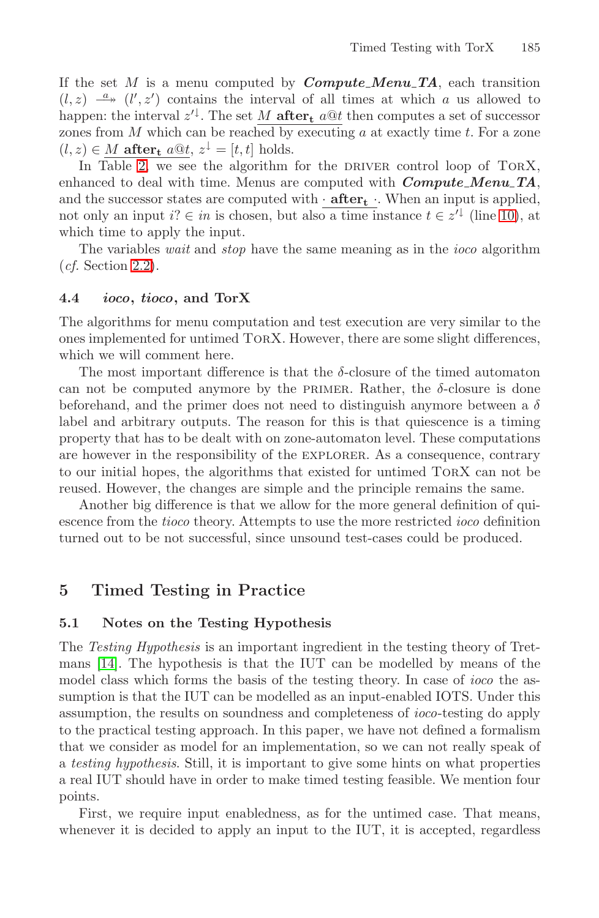If the set M is a menu computed by *Compute Menu TA*, each transition  $(l, z) \longrightarrow (l', z')$  contains the interval of all times at which a us allowed to happen: the interval  $z'^{\downarrow}$ . The set M **after**<sub>t</sub>  $a@t$  then computes a set of successor zones from  $M$  which can be reached by executing  $a$  at exactly time  $t$ . For a zone  $(l, z) \in M$  **after**<sub>t</sub>  $a@t, z^{\downarrow} = [t, t]$  holds.

In Table [2,](#page-11-0) we see the algorithm for the DRIVER control loop of TORX, enhanced to deal with time. Menus are computed with *Compute Menu TA*, and the successor states are computed with  $\cdot$  **after**<sub>**t**</sub>  $\cdot$ . When an input is applied, not only an input  $i? \in in$  is chosen, but also a time instance  $t \in z'^{\perp}$  (line [10\)](#page-4-13), at which time to apply the input.

The variables *wait* and *stop* have the same meaning as in the *ioco* algorithm (*cf.* Section [2.2\)](#page-3-1).

### **4.4** *ioco***,** *tioco***, and TorX**

The algorithms for menu computation and test execution are very similar to the ones implemented for untimed TorX. However, there are some slight differences, which we will comment here.

The most important difference is that the  $\delta$ -closure of the timed automaton can not be computed anymore by the PRIMER. Rather, the  $\delta$ -closure is done beforehand, and the primer does not need to distinguish anymore between a  $\delta$ label and arbitrary outputs. The reason for this is that quiescence is a timing property that has to be dealt with on zone-automaton level. These computations are however in the responsibility of the explorer. As a consequence, contrary to our initial hopes, the algorithms that existed for untimed TorX can not be reused. However, the changes are simple and the principle remains the same.

Another big difference is that we allow for the more general definition of quiescence from the *tioco* theory. Attempts to use the more restricted *ioco* definition turned out to be not successful, since unsound test-cases could be produced.

## <span id="page-12-0"></span>**5 Timed Testing in Practice**

#### **5.1 Notes on the Testing Hypothesis**

The *Testing Hypothesis* is an important ingredient in the testing theory of Tretmans [\[14\]](#page-15-4). The hypothesis is that the IUT can be modelled by means of the model class which forms the basis of the testing theory. In case of *ioco* the assumption is that the IUT can be modelled as an input-enabled IOTS. Under this assumption, the results on soundness and completeness of *ioco*-testing do apply to the practical testing approach. In this paper, we have not defined a formalism that we consider as model for an implementation, so we can not really speak of a *testing hypothesis*. Still, it is important to give some hints on what properties a real IUT should have in order to make timed testing feasible. We mention four points.

First, we require input enabledness, as for the untimed case. That means, whenever it is decided to apply an input to the IUT, it is accepted, regardless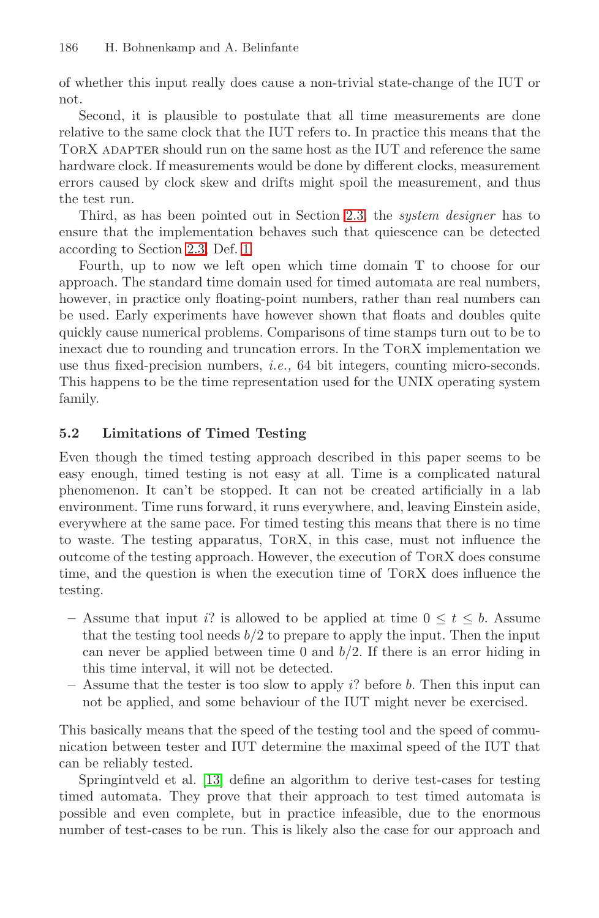of whether this input really does cause a non-trivial state-change of the IUT or not.

Second, it is plausible to postulate that all time measurements are done relative to the same clock that the IUT refers to. In practice this means that the TORX ADAPTER should run on the same host as the IUT and reference the same hardware clock. If measurements would be done by different clocks, measurement errors caused by clock skew and drifts might spoil the measurement, and thus the test run.

Third, as has been pointed out in Section [2.3,](#page-5-2) the *system designer* has to ensure that the implementation behaves such that quiescence can be detected according to Section [2.3,](#page-5-2) Def. [1.](#page-5-0)

Fourth, up to now we left open which time domain T to choose for our approach. The standard time domain used for timed automata are real numbers, however, in practice only floating-point numbers, rather than real numbers can be used. Early experiments have however shown that floats and doubles quite quickly cause numerical problems. Comparisons of time stamps turn out to be to inexact due to rounding and truncation errors. In the TorX implementation we use thus fixed-precision numbers, *i.e.,* 64 bit integers, counting micro-seconds. This happens to be the time representation used for the UNIX operating system family.

### **5.2 Limitations of Timed Testing**

Even though the timed testing approach described in this paper seems to be easy enough, timed testing is not easy at all. Time is a complicated natural phenomenon. It can't be stopped. It can not be created artificially in a lab environment. Time runs forward, it runs everywhere, and, leaving Einstein aside, everywhere at the same pace. For timed testing this means that there is no time to waste. The testing apparatus, TorX, in this case, must not influence the outcome of the testing approach. However, the execution of TorX does consume time, and the question is when the execution time of TorX does influence the testing.

- Assume that input i? is allowed to be applied at time  $0 \le t \le b$ . Assume that the testing tool needs  $b/2$  to prepare to apply the input. Then the input can never be applied between time 0 and  $b/2$ . If there is an error hiding in this time interval, it will not be detected.
- **–** Assume that the tester is too slow to apply i? before b. Then this input can not be applied, and some behaviour of the IUT might never be exercised.

This basically means that the speed of the testing tool and the speed of communication between tester and IUT determine the maximal speed of the IUT that can be reliably tested.

Springintveld et al. [\[13\]](#page-15-12) define an algorithm to derive test-cases for testing timed automata. They prove that their approach to test timed automata is possible and even complete, but in practice infeasible, due to the enormous number of test-cases to be run. This is likely also the case for our approach and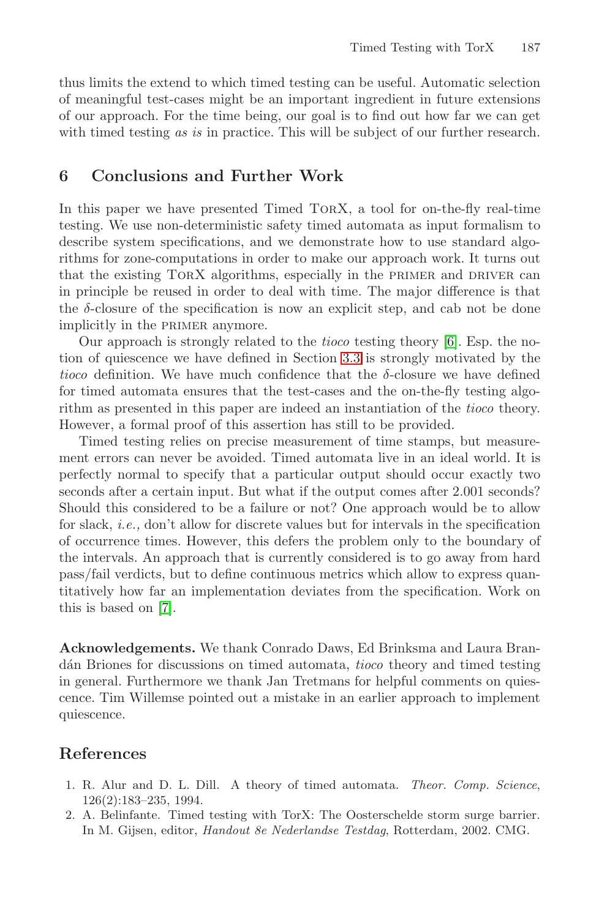thus limits the extend to which timed testing can be useful. Automatic selection of meaningful test-cases might be an important ingredient in future extensions of our approach. For the time being, our goal is to find out how far we can get with timed testing *as is* in practice. This will be subject of our further research.

### <span id="page-14-1"></span>**6 Conclusions and Further Work**

In this paper we have presented Timed TorX, a tool for on-the-fly real-time testing. We use non-deterministic safety timed automata as input formalism to describe system specifications, and we demonstrate how to use standard algorithms for zone-computations in order to make our approach work. It turns out that the existing TorX algorithms, especially in the primer and driver can in principle be reused in order to deal with time. The major difference is that the  $\delta$ -closure of the specification is now an explicit step, and cab not be done implicitly in the PRIMER anymore.

Our approach is strongly related to the *tioco* testing theory [\[6\]](#page-15-7). Esp. the notion of quiescence we have defined in Section [3.3](#page-8-0) is strongly motivated by the *tioco* definition. We have much confidence that the  $\delta$ -closure we have defined for timed automata ensures that the test-cases and the on-the-fly testing algorithm as presented in this paper are indeed an instantiation of the *tioco* theory. However, a formal proof of this assertion has still to be provided.

Timed testing relies on precise measurement of time stamps, but measurement errors can never be avoided. Timed automata live in an ideal world. It is perfectly normal to specify that a particular output should occur exactly two seconds after a certain input. But what if the output comes after 2.001 seconds? Should this considered to be a failure or not? One approach would be to allow for slack, *i.e.,* don't allow for discrete values but for intervals in the specification of occurrence times. However, this defers the problem only to the boundary of the intervals. An approach that is currently considered is to go away from hard pass/fail verdicts, but to define continuous metrics which allow to express quantitatively how far an implementation deviates from the specification. Work on this is based on [\[7\]](#page-15-13).

**Acknowledgements.** We thank Conrado Daws, Ed Brinksma and Laura Brand´an Briones for discussions on timed automata, *tioco* theory and timed testing in general. Furthermore we thank Jan Tretmans for helpful comments on quiescence. Tim Willemse pointed out a mistake in an earlier approach to implement quiescence.

### <span id="page-14-2"></span>**References**

- 1. R. Alur and D. L. Dill. A theory of timed automata. *Theor. Comp. Science*, 126(2):183–235, 1994.
- <span id="page-14-0"></span>2. A. Belinfante. Timed testing with TorX: The Oosterschelde storm surge barrier. In M. Gijsen, editor, *Handout 8e Nederlandse Testdag*, Rotterdam, 2002. CMG.